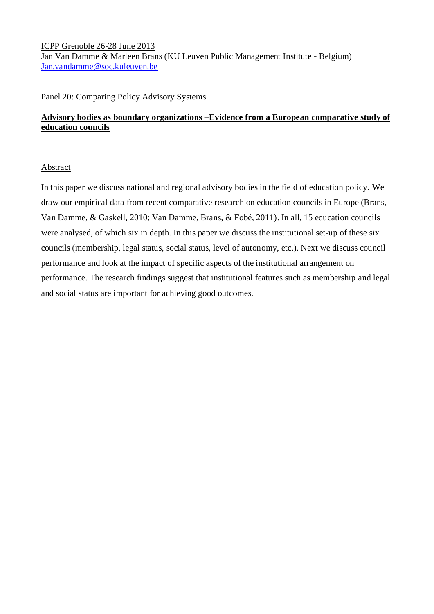ICPP Grenoble 26-28 June 2013 Jan Van Damme & Marleen Brans (KU Leuven Public Management Institute - Belgium) [Jan.vandamme@soc.kuleuven.be](mailto:Jan.vandamme@soc.kuleuven.be)

### Panel 20: Comparing Policy Advisory Systems

# **Advisory bodies as boundary organizations –Evidence from a European comparative study of education councils**

### Abstract

In this paper we discuss national and regional advisory bodies in the field of education policy. We draw our empirical data from recent comparative research on education councils in Europe (Brans, Van Damme, & Gaskell, 2010; Van Damme, Brans, & Fobé, 2011). In all, 15 education councils were analysed, of which six in depth. In this paper we discuss the institutional set-up of these six councils (membership, legal status, social status, level of autonomy, etc.). Next we discuss council performance and look at the impact of specific aspects of the institutional arrangement on performance. The research findings suggest that institutional features such as membership and legal and social status are important for achieving good outcomes.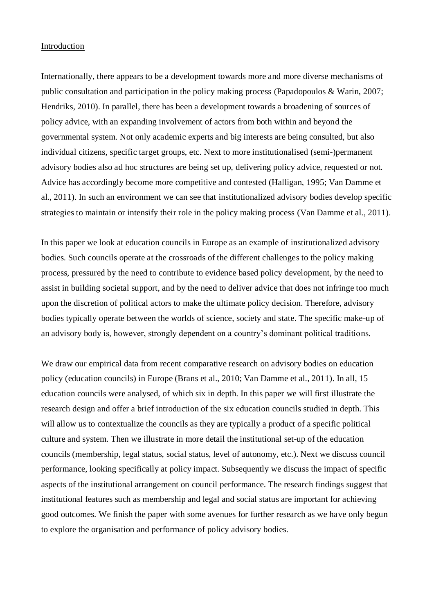### Introduction

Internationally, there appears to be a development towards more and more diverse mechanisms of public consultation and participation in the policy making process (Papadopoulos & Warin, 2007; Hendriks, 2010). In parallel, there has been a development towards a broadening of sources of policy advice, with an expanding involvement of actors from both within and beyond the governmental system. Not only academic experts and big interests are being consulted, but also individual citizens, specific target groups, etc. Next to more institutionalised (semi-)permanent advisory bodies also ad hoc structures are being set up, delivering policy advice, requested or not. Advice has accordingly become more competitive and contested (Halligan, 1995; Van Damme et al., 2011). In such an environment we can see that institutionalized advisory bodies develop specific strategies to maintain or intensify their role in the policy making process (Van Damme et al., 2011).

In this paper we look at education councils in Europe as an example of institutionalized advisory bodies. Such councils operate at the crossroads of the different challenges to the policy making process, pressured by the need to contribute to evidence based policy development, by the need to assist in building societal support, and by the need to deliver advice that does not infringe too much upon the discretion of political actors to make the ultimate policy decision. Therefore, advisory bodies typically operate between the worlds of science, society and state. The specific make-up of an advisory body is, however, strongly dependent on a country's dominant political traditions.

We draw our empirical data from recent comparative research on advisory bodies on education policy (education councils) in Europe (Brans et al., 2010; Van Damme et al., 2011). In all, 15 education councils were analysed, of which six in depth. In this paper we will first illustrate the research design and offer a brief introduction of the six education councils studied in depth. This will allow us to contextualize the councils as they are typically a product of a specific political culture and system. Then we illustrate in more detail the institutional set-up of the education councils (membership, legal status, social status, level of autonomy, etc.). Next we discuss council performance, looking specifically at policy impact. Subsequently we discuss the impact of specific aspects of the institutional arrangement on council performance. The research findings suggest that institutional features such as membership and legal and social status are important for achieving good outcomes. We finish the paper with some avenues for further research as we have only begun to explore the organisation and performance of policy advisory bodies.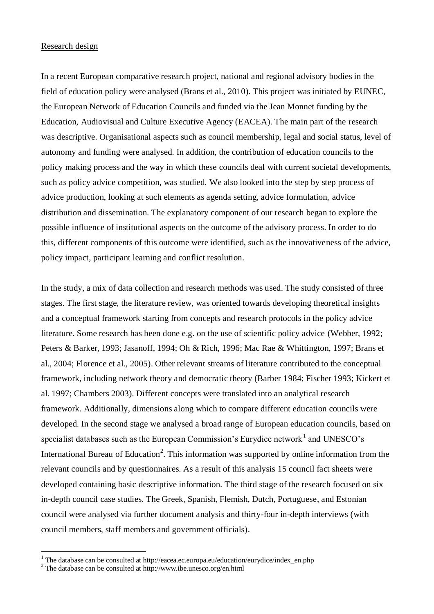## Research design

In a recent European comparative research project, national and regional advisory bodies in the field of education policy were analysed (Brans et al., 2010). This project was initiated by EUNEC, the European Network of Education Councils and funded via the Jean Monnet funding by the Education, Audiovisual and Culture Executive Agency (EACEA). The main part of the research was descriptive. Organisational aspects such as council membership, legal and social status, level of autonomy and funding were analysed. In addition, the contribution of education councils to the policy making process and the way in which these councils deal with current societal developments, such as policy advice competition, was studied. We also looked into the step by step process of advice production, looking at such elements as agenda setting, advice formulation, advice distribution and dissemination. The explanatory component of our research began to explore the possible influence of institutional aspects on the outcome of the advisory process. In order to do this, different components of this outcome were identified, such as the innovativeness of the advice, policy impact, participant learning and conflict resolution.

In the study, a mix of data collection and research methods was used. The study consisted of three stages. The first stage, the literature review, was oriented towards developing theoretical insights and a conceptual framework starting from concepts and research protocols in the policy advice literature. Some research has been done e.g. on the use of scientific policy advice (Webber, 1992; Peters & Barker, 1993; Jasanoff, 1994; Oh & Rich, 1996; Mac Rae & Whittington, 1997; Brans et al., 2004; Florence et al., 2005). Other relevant streams of literature contributed to the conceptual framework, including network theory and democratic theory (Barber 1984; Fischer 1993; Kickert et al. 1997; Chambers 2003). Different concepts were translated into an analytical research framework. Additionally, dimensions along which to compare different education councils were developed. In the second stage we analysed a broad range of European education councils, based on specialist databases such as the European Commission's Eurydice network<sup>1</sup> and UNESCO's International Bureau of Education<sup>2</sup>. This information was supported by online information from the relevant councils and by questionnaires. As a result of this analysis 15 council fact sheets were developed containing basic descriptive information. The third stage of the research focused on six in-depth council case studies. The Greek, Spanish, Flemish, Dutch, Portuguese, and Estonian council were analysed via further document analysis and thirty-four in-depth interviews (with council members, staff members and government officials).

 $\overline{a}$ 

<sup>&</sup>lt;sup>1</sup> The database can be consulted at http://eacea.ec.europa.eu/education/eurydice/index\_en.php

<sup>&</sup>lt;sup>2</sup> The database can be consulted at http://www.ibe.unesco.org/en.html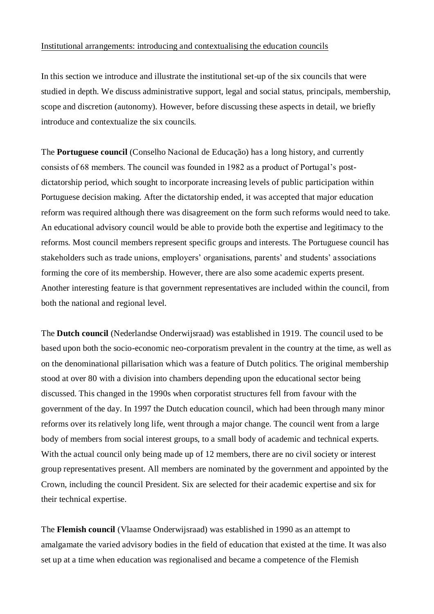## Institutional arrangements: introducing and contextualising the education councils

In this section we introduce and illustrate the institutional set-up of the six councils that were studied in depth. We discuss administrative support, legal and social status, principals, membership, scope and discretion (autonomy). However, before discussing these aspects in detail, we briefly introduce and contextualize the six councils.

The **Portuguese council** (Conselho Nacional de Educação) has a long history, and currently consists of 68 members. The council was founded in 1982 as a product of Portugal's postdictatorship period, which sought to incorporate increasing levels of public participation within Portuguese decision making. After the dictatorship ended, it was accepted that major education reform was required although there was disagreement on the form such reforms would need to take. An educational advisory council would be able to provide both the expertise and legitimacy to the reforms. Most council members represent specific groups and interests. The Portuguese council has stakeholders such as trade unions, employers' organisations, parents' and students' associations forming the core of its membership. However, there are also some academic experts present. Another interesting feature is that government representatives are included within the council, from both the national and regional level.

The **Dutch council** (Nederlandse Onderwijsraad) was established in 1919. The council used to be based upon both the socio-economic neo-corporatism prevalent in the country at the time, as well as on the denominational pillarisation which was a feature of Dutch politics. The original membership stood at over 80 with a division into chambers depending upon the educational sector being discussed. This changed in the 1990s when corporatist structures fell from favour with the government of the day. In 1997 the Dutch education council, which had been through many minor reforms over its relatively long life, went through a major change. The council went from a large body of members from social interest groups, to a small body of academic and technical experts. With the actual council only being made up of 12 members, there are no civil society or interest group representatives present. All members are nominated by the government and appointed by the Crown, including the council President. Six are selected for their academic expertise and six for their technical expertise.

The **Flemish council** (Vlaamse Onderwijsraad) was established in 1990 as an attempt to amalgamate the varied advisory bodies in the field of education that existed at the time. It was also set up at a time when education was regionalised and became a competence of the Flemish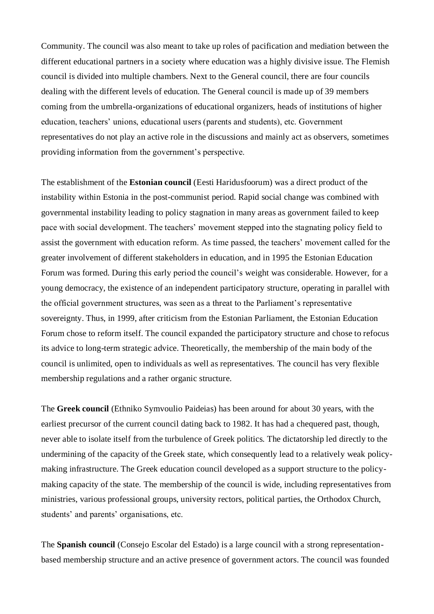Community. The council was also meant to take up roles of pacification and mediation between the different educational partners in a society where education was a highly divisive issue. The Flemish council is divided into multiple chambers. Next to the General council, there are four councils dealing with the different levels of education. The General council is made up of 39 members coming from the umbrella-organizations of educational organizers, heads of institutions of higher education, teachers' unions, educational users (parents and students), etc. Government representatives do not play an active role in the discussions and mainly act as observers, sometimes providing information from the government's perspective.

The establishment of the **Estonian council** (Eesti Haridusfoorum) was a direct product of the instability within Estonia in the post-communist period. Rapid social change was combined with governmental instability leading to policy stagnation in many areas as government failed to keep pace with social development. The teachers' movement stepped into the stagnating policy field to assist the government with education reform. As time passed, the teachers' movement called for the greater involvement of different stakeholders in education, and in 1995 the Estonian Education Forum was formed. During this early period the council's weight was considerable. However, for a young democracy, the existence of an independent participatory structure, operating in parallel with the official government structures, was seen as a threat to the Parliament's representative sovereignty. Thus, in 1999, after criticism from the Estonian Parliament, the Estonian Education Forum chose to reform itself. The council expanded the participatory structure and chose to refocus its advice to long-term strategic advice. Theoretically, the membership of the main body of the council is unlimited, open to individuals as well as representatives. The council has very flexible membership regulations and a rather organic structure.

The **Greek council** (Ethniko Symvoulio Paideias) has been around for about 30 years, with the earliest precursor of the current council dating back to 1982. It has had a chequered past, though, never able to isolate itself from the turbulence of Greek politics. The dictatorship led directly to the undermining of the capacity of the Greek state, which consequently lead to a relatively weak policymaking infrastructure. The Greek education council developed as a support structure to the policymaking capacity of the state. The membership of the council is wide, including representatives from ministries, various professional groups, university rectors, political parties, the Orthodox Church, students' and parents' organisations, etc.

The **Spanish council** (Consejo Escolar del Estado) is a large council with a strong representationbased membership structure and an active presence of government actors. The council was founded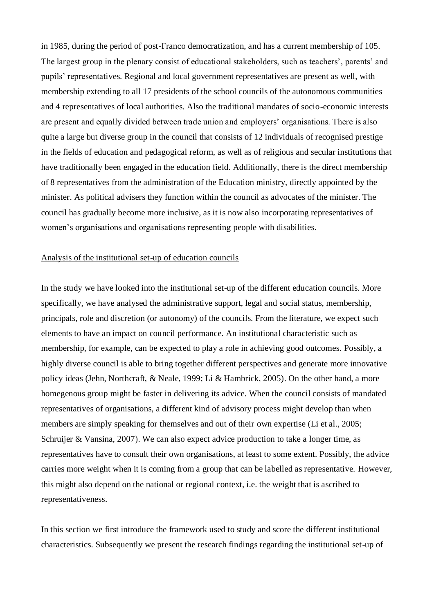in 1985, during the period of post-Franco democratization, and has a current membership of 105. The largest group in the plenary consist of educational stakeholders, such as teachers', parents' and pupils' representatives. Regional and local government representatives are present as well, with membership extending to all 17 presidents of the school councils of the autonomous communities and 4 representatives of local authorities. Also the traditional mandates of socio-economic interests are present and equally divided between trade union and employers' organisations. There is also quite a large but diverse group in the council that consists of 12 individuals of recognised prestige in the fields of education and pedagogical reform, as well as of religious and secular institutions that have traditionally been engaged in the education field. Additionally, there is the direct membership of 8 representatives from the administration of the Education ministry, directly appointed by the minister. As political advisers they function within the council as advocates of the minister. The council has gradually become more inclusive, as it is now also incorporating representatives of women's organisations and organisations representing people with disabilities.

### Analysis of the institutional set-up of education councils

In the study we have looked into the institutional set-up of the different education councils. More specifically, we have analysed the administrative support, legal and social status, membership, principals, role and discretion (or autonomy) of the councils. From the literature, we expect such elements to have an impact on council performance. An institutional characteristic such as membership, for example, can be expected to play a role in achieving good outcomes. Possibly, a highly diverse council is able to bring together different perspectives and generate more innovative policy ideas (Jehn, Northcraft, & Neale, 1999; Li & Hambrick, 2005). On the other hand, a more homegenous group might be faster in delivering its advice. When the council consists of mandated representatives of organisations, a different kind of advisory process might develop than when members are simply speaking for themselves and out of their own expertise (Li et al., 2005; Schruijer & Vansina, 2007). We can also expect advice production to take a longer time, as representatives have to consult their own organisations, at least to some extent. Possibly, the advice carries more weight when it is coming from a group that can be labelled as representative. However, this might also depend on the national or regional context, i.e. the weight that is ascribed to representativeness.

In this section we first introduce the framework used to study and score the different institutional characteristics. Subsequently we present the research findings regarding the institutional set-up of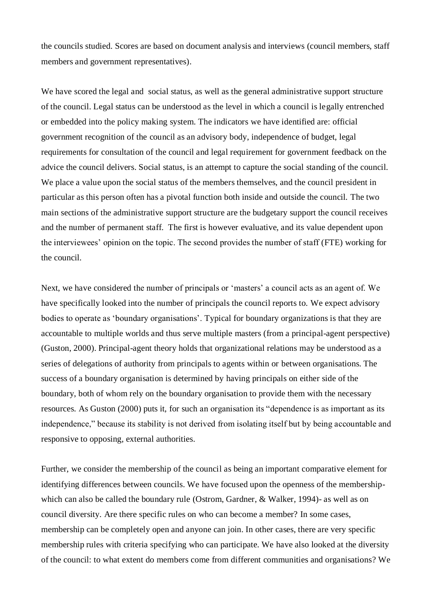the councils studied. Scores are based on document analysis and interviews (council members, staff members and government representatives).

We have scored the legal and social status, as well as the general administrative support structure of the council. Legal status can be understood as the level in which a council is legally entrenched or embedded into the policy making system. The indicators we have identified are: official government recognition of the council as an advisory body, independence of budget, legal requirements for consultation of the council and legal requirement for government feedback on the advice the council delivers. Social status, is an attempt to capture the social standing of the council. We place a value upon the social status of the members themselves, and the council president in particular as this person often has a pivotal function both inside and outside the council. The two main sections of the administrative support structure are the budgetary support the council receives and the number of permanent staff. The first is however evaluative, and its value dependent upon the interviewees' opinion on the topic. The second provides the number of staff (FTE) working for the council.

Next, we have considered the number of principals or 'masters' a council acts as an agent of. We have specifically looked into the number of principals the council reports to. We expect advisory bodies to operate as 'boundary organisations'. Typical for boundary organizations is that they are accountable to multiple worlds and thus serve multiple masters (from a principal-agent perspective) (Guston, 2000). Principal-agent theory holds that organizational relations may be understood as a series of delegations of authority from principals to agents within or between organisations. The success of a boundary organisation is determined by having principals on either side of the boundary, both of whom rely on the boundary organisation to provide them with the necessary resources. As Guston (2000) puts it, for such an organisation its "dependence is as important as its independence," because its stability is not derived from isolating itself but by being accountable and responsive to opposing, external authorities.

Further, we consider the membership of the council as being an important comparative element for identifying differences between councils. We have focused upon the openness of the membershipwhich can also be called the boundary rule (Ostrom, Gardner, & Walker, 1994)- as well as on council diversity. Are there specific rules on who can become a member? In some cases, membership can be completely open and anyone can join. In other cases, there are very specific membership rules with criteria specifying who can participate. We have also looked at the diversity of the council: to what extent do members come from different communities and organisations? We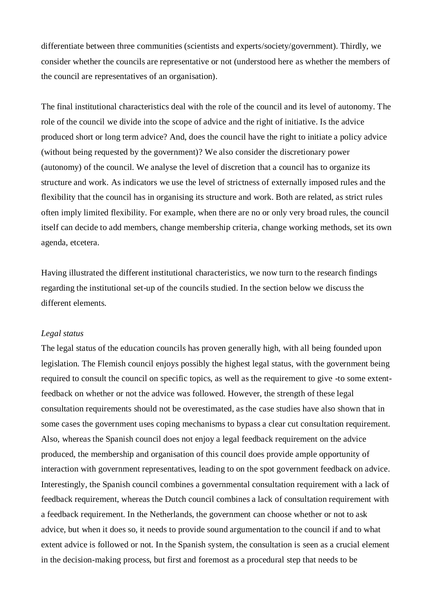differentiate between three communities (scientists and experts/society/government). Thirdly, we consider whether the councils are representative or not (understood here as whether the members of the council are representatives of an organisation).

The final institutional characteristics deal with the role of the council and its level of autonomy. The role of the council we divide into the scope of advice and the right of initiative. Is the advice produced short or long term advice? And, does the council have the right to initiate a policy advice (without being requested by the government)? We also consider the discretionary power (autonomy) of the council. We analyse the level of discretion that a council has to organize its structure and work. As indicators we use the level of strictness of externally imposed rules and the flexibility that the council has in organising its structure and work. Both are related, as strict rules often imply limited flexibility. For example, when there are no or only very broad rules, the council itself can decide to add members, change membership criteria, change working methods, set its own agenda, etcetera.

Having illustrated the different institutional characteristics, we now turn to the research findings regarding the institutional set-up of the councils studied. In the section below we discuss the different elements.

### *Legal status*

The legal status of the education councils has proven generally high, with all being founded upon legislation. The Flemish council enjoys possibly the highest legal status, with the government being required to consult the council on specific topics, as well as the requirement to give -to some extentfeedback on whether or not the advice was followed. However, the strength of these legal consultation requirements should not be overestimated, as the case studies have also shown that in some cases the government uses coping mechanisms to bypass a clear cut consultation requirement. Also, whereas the Spanish council does not enjoy a legal feedback requirement on the advice produced, the membership and organisation of this council does provide ample opportunity of interaction with government representatives, leading to on the spot government feedback on advice. Interestingly, the Spanish council combines a governmental consultation requirement with a lack of feedback requirement, whereas the Dutch council combines a lack of consultation requirement with a feedback requirement. In the Netherlands, the government can choose whether or not to ask advice, but when it does so, it needs to provide sound argumentation to the council if and to what extent advice is followed or not. In the Spanish system, the consultation is seen as a crucial element in the decision-making process, but first and foremost as a procedural step that needs to be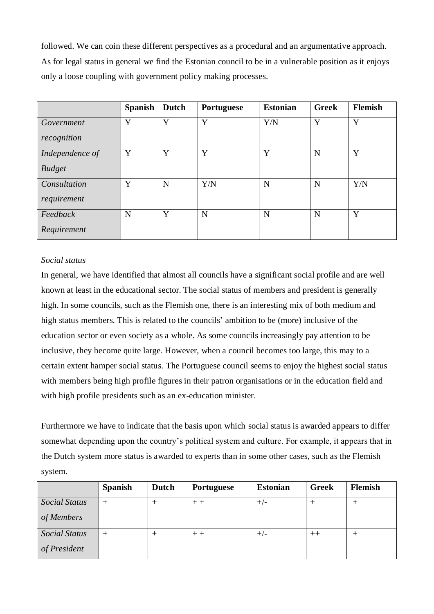followed. We can coin these different perspectives as a procedural and an argumentative approach. As for legal status in general we find the Estonian council to be in a vulnerable position as it enjoys only a loose coupling with government policy making processes.

|                 | <b>Spanish</b> | <b>Dutch</b> | <b>Portuguese</b> | <b>Estonian</b> | <b>Greek</b> | <b>Flemish</b> |
|-----------------|----------------|--------------|-------------------|-----------------|--------------|----------------|
| Government      | Y              | Y            | Y                 | Y/N             | Y            | Y              |
| recognition     |                |              |                   |                 |              |                |
| Independence of | Y              | Y            | Y                 | Y               | N            | Y              |
| <b>Budget</b>   |                |              |                   |                 |              |                |
| Consultation    | Y              | N            | Y/N               | N               | N            | Y/N            |
| requirement     |                |              |                   |                 |              |                |
| Feedback        | N              | Y            | N                 | N               | N            | Y              |
| Requirement     |                |              |                   |                 |              |                |

## *Social status*

In general, we have identified that almost all councils have a significant social profile and are well known at least in the educational sector. The social status of members and president is generally high. In some councils, such as the Flemish one, there is an interesting mix of both medium and high status members. This is related to the councils' ambition to be (more) inclusive of the education sector or even society as a whole. As some councils increasingly pay attention to be inclusive, they become quite large. However, when a council becomes too large, this may to a certain extent hamper social status. The Portuguese council seems to enjoy the highest social status with members being high profile figures in their patron organisations or in the education field and with high profile presidents such as an ex-education minister.

Furthermore we have to indicate that the basis upon which social status is awarded appears to differ somewhat depending upon the country's political system and culture. For example, it appears that in the Dutch system more status is awarded to experts than in some other cases, such as the Flemish system.

|                      | <b>Spanish</b> | <b>Dutch</b>    | <b>Portuguese</b> | <b>Estonian</b> | <b>Greek</b> | <b>Flemish</b>  |
|----------------------|----------------|-----------------|-------------------|-----------------|--------------|-----------------|
| <b>Social Status</b> | $^+$           | $^+$            | $+ +$             | $+/-$           |              | $^+$            |
| of Members           |                |                 |                   |                 |              |                 |
| Social Status        | $^+$           | $^{\mathrm{+}}$ | $+ +$             | $+/-$           | $++$         | $^{\mathrm{+}}$ |
| of President         |                |                 |                   |                 |              |                 |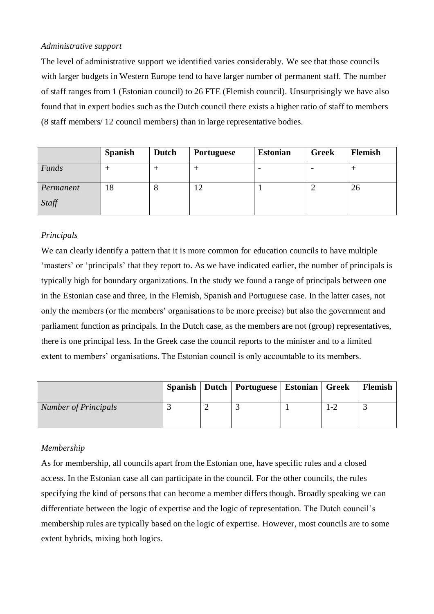## *Administrative support*

The level of administrative support we identified varies considerably. We see that those councils with larger budgets in Western Europe tend to have larger number of permanent staff. The number of staff ranges from 1 (Estonian council) to 26 FTE (Flemish council). Unsurprisingly we have also found that in expert bodies such as the Dutch council there exists a higher ratio of staff to members (8 staff members/ 12 council members) than in large representative bodies.

|              | <b>Spanish</b> | Dutch | <b>Portuguese</b> | <b>Estonian</b> | <b>Greek</b> | Flemish |
|--------------|----------------|-------|-------------------|-----------------|--------------|---------|
| <b>Funds</b> |                |       |                   |                 |              |         |
| Permanent    | 18             |       | ∠                 |                 |              | 26      |
| Staff        |                |       |                   |                 |              |         |

# *Principals*

We can clearly identify a pattern that it is more common for education councils to have multiple 'masters' or 'principals' that they report to. As we have indicated earlier, the number of principals is typically high for boundary organizations. In the study we found a range of principals between one in the Estonian case and three, in the Flemish, Spanish and Portuguese case. In the latter cases, not only the members (or the members' organisations to be more precise) but also the government and parliament function as principals. In the Dutch case, as the members are not (group) representatives, there is one principal less. In the Greek case the council reports to the minister and to a limited extent to members' organisations. The Estonian council is only accountable to its members.

|                             |  | Spanish   Dutch   Portuguese   Estonian   Greek |     | Flemish |
|-----------------------------|--|-------------------------------------------------|-----|---------|
| <b>Number of Principals</b> |  |                                                 | 1-2 |         |

# *Membership*

As for membership, all councils apart from the Estonian one, have specific rules and a closed access. In the Estonian case all can participate in the council. For the other councils, the rules specifying the kind of persons that can become a member differs though. Broadly speaking we can differentiate between the logic of expertise and the logic of representation. The Dutch council's membership rules are typically based on the logic of expertise. However, most councils are to some extent hybrids, mixing both logics.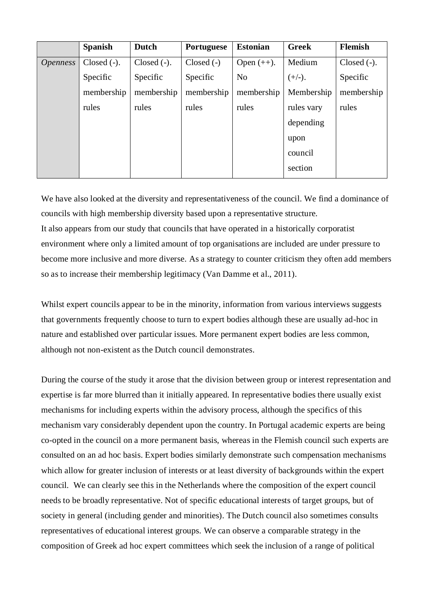|                        | <b>Spanish</b> | <b>Dutch</b>  | Portuguese   | <b>Estonian</b> | <b>Greek</b> | <b>Flemish</b> |
|------------------------|----------------|---------------|--------------|-----------------|--------------|----------------|
| <i><b>Openness</b></i> | $Closed (-).$  | $Closed (-).$ | $Closed (-)$ | Open $(++)$ .   | Medium       | $Closed (-).$  |
|                        | Specific       | Specific      | Specific     | N <sub>o</sub>  | $(+/-).$     | Specific       |
|                        | membership     | membership    | membership   | membership      | Membership   | membership     |
|                        | rules          | rules         | rules        | rules           | rules vary   | rules          |
|                        |                |               |              |                 | depending    |                |
|                        |                |               |              |                 | upon         |                |
|                        |                |               |              |                 | council      |                |
|                        |                |               |              |                 | section      |                |

We have also looked at the diversity and representativeness of the council. We find a dominance of councils with high membership diversity based upon a representative structure.

It also appears from our study that councils that have operated in a historically corporatist environment where only a limited amount of top organisations are included are under pressure to become more inclusive and more diverse. As a strategy to counter criticism they often add members so as to increase their membership legitimacy (Van Damme et al., 2011).

Whilst expert councils appear to be in the minority, information from various interviews suggests that governments frequently choose to turn to expert bodies although these are usually ad-hoc in nature and established over particular issues. More permanent expert bodies are less common, although not non-existent as the Dutch council demonstrates.

During the course of the study it arose that the division between group or interest representation and expertise is far more blurred than it initially appeared. In representative bodies there usually exist mechanisms for including experts within the advisory process, although the specifics of this mechanism vary considerably dependent upon the country. In Portugal academic experts are being co-opted in the council on a more permanent basis, whereas in the Flemish council such experts are consulted on an ad hoc basis. Expert bodies similarly demonstrate such compensation mechanisms which allow for greater inclusion of interests or at least diversity of backgrounds within the expert council. We can clearly see this in the Netherlands where the composition of the expert council needs to be broadly representative. Not of specific educational interests of target groups, but of society in general (including gender and minorities). The Dutch council also sometimes consults representatives of educational interest groups. We can observe a comparable strategy in the composition of Greek ad hoc expert committees which seek the inclusion of a range of political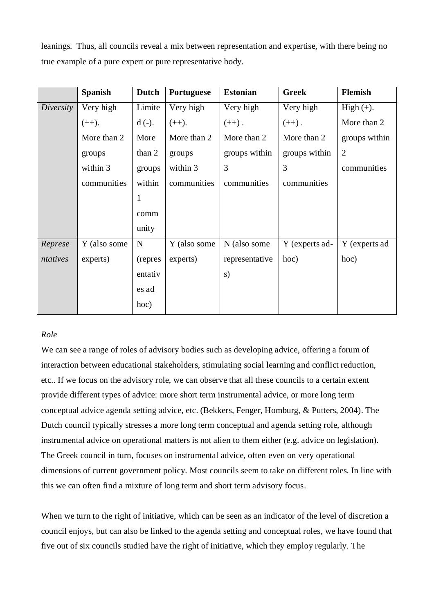leanings. Thus, all councils reveal a mix between representation and expertise, with there being no true example of a pure expert or pure representative body.

|           | <b>Spanish</b> | <b>Dutch</b> | Portuguese   | <b>Estonian</b> | <b>Greek</b>   | Flemish        |
|-----------|----------------|--------------|--------------|-----------------|----------------|----------------|
| Diversity | Very high      | Limite       | Very high    | Very high       | Very high      | $High (+).$    |
|           | $(++).$        | $d(-)$ .     | $(++).$      | $(++)$ .        | $(++)$ .       | More than 2    |
|           | More than 2    | More         | More than 2  | More than 2     | More than 2    | groups within  |
|           | groups         | than 2       | groups       | groups within   | groups within  | $\overline{2}$ |
|           | within 3       | groups       | within 3     | 3               | 3              | communities    |
|           | communities    | within       | communities  | communities     | communities    |                |
|           |                | 1            |              |                 |                |                |
|           |                | comm         |              |                 |                |                |
|           |                | unity        |              |                 |                |                |
| Represe   | Y (also some   | N            | Y (also some | N (also some    | Y (experts ad- | Y (experts ad  |
| ntatives  | experts)       | (repres      | experts)     | representative  | hoc)           | hoc)           |
|           |                | entativ      |              | s)              |                |                |
|           |                | es ad        |              |                 |                |                |
|           |                | hoc)         |              |                 |                |                |

# *Role*

We can see a range of roles of advisory bodies such as developing advice, offering a forum of interaction between educational stakeholders, stimulating social learning and conflict reduction, etc.. If we focus on the advisory role, we can observe that all these councils to a certain extent provide different types of advice: more short term instrumental advice, or more long term conceptual advice agenda setting advice, etc. (Bekkers, Fenger, Homburg, & Putters, 2004). The Dutch council typically stresses a more long term conceptual and agenda setting role, although instrumental advice on operational matters is not alien to them either (e.g. advice on legislation). The Greek council in turn, focuses on instrumental advice, often even on very operational dimensions of current government policy. Most councils seem to take on different roles. In line with this we can often find a mixture of long term and short term advisory focus.

When we turn to the right of initiative, which can be seen as an indicator of the level of discretion a council enjoys, but can also be linked to the agenda setting and conceptual roles, we have found that five out of six councils studied have the right of initiative, which they employ regularly. The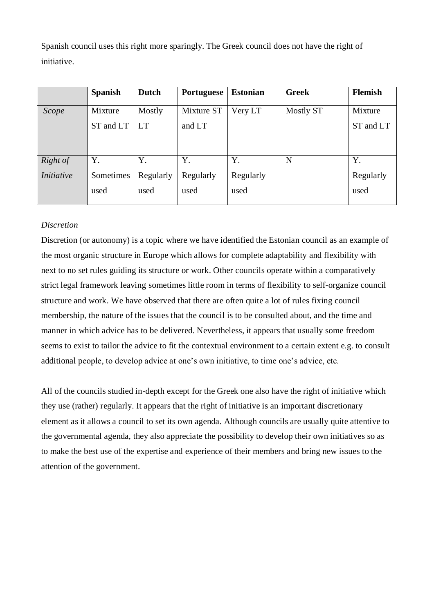Spanish council uses this right more sparingly. The Greek council does not have the right of initiative.

|                   | <b>Spanish</b> | <b>Dutch</b> | <b>Portuguese</b> | <b>Estonian</b> | <b>Greek</b> | <b>Flemish</b> |
|-------------------|----------------|--------------|-------------------|-----------------|--------------|----------------|
| Scope             | Mixture        | Mostly       | Mixture ST        | Very LT         | Mostly ST    | Mixture        |
|                   | ST and LT      | <b>LT</b>    | and LT            |                 |              | ST and LT      |
|                   |                |              |                   |                 |              |                |
|                   |                |              |                   |                 |              |                |
| Right of          | Y.             | Y.           | Y.                | Y.              | N            | Y.             |
| <i>Initiative</i> | Sometimes      | Regularly    | Regularly         | Regularly       |              | Regularly      |
|                   | used           | used         | used              | used            |              | used           |
|                   |                |              |                   |                 |              |                |

# *Discretion*

Discretion (or autonomy) is a topic where we have identified the Estonian council as an example of the most organic structure in Europe which allows for complete adaptability and flexibility with next to no set rules guiding its structure or work. Other councils operate within a comparatively strict legal framework leaving sometimes little room in terms of flexibility to self-organize council structure and work. We have observed that there are often quite a lot of rules fixing council membership, the nature of the issues that the council is to be consulted about, and the time and manner in which advice has to be delivered. Nevertheless, it appears that usually some freedom seems to exist to tailor the advice to fit the contextual environment to a certain extent e.g. to consult additional people, to develop advice at one's own initiative, to time one's advice, etc.

All of the councils studied in-depth except for the Greek one also have the right of initiative which they use (rather) regularly. It appears that the right of initiative is an important discretionary element as it allows a council to set its own agenda. Although councils are usually quite attentive to the governmental agenda, they also appreciate the possibility to develop their own initiatives so as to make the best use of the expertise and experience of their members and bring new issues to the attention of the government.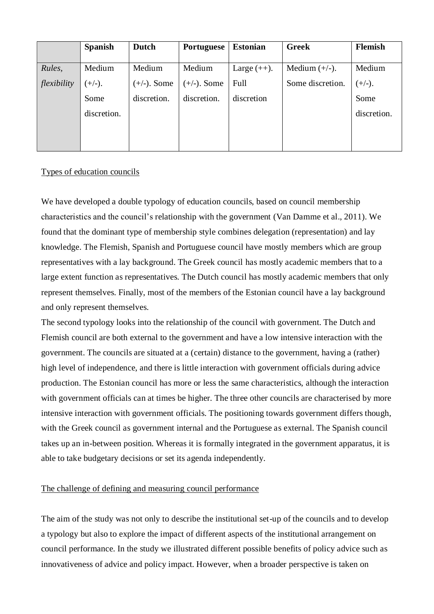|             | <b>Spanish</b> | <b>Dutch</b>   | <b>Portuguese</b> | <b>Estonian</b> | <b>Greek</b>     | <b>Flemish</b> |
|-------------|----------------|----------------|-------------------|-----------------|------------------|----------------|
| Rules,      | Medium         | Medium         | Medium            | Large $(++)$ .  | Medium $(+/-)$ . | Medium         |
| flexibility | $(+/-).$       | $(+/-)$ . Some | $(+/-)$ . Some    | Full            | Some discretion. | $(+/-).$       |
|             | Some           | discretion.    | discretion.       | discretion      |                  | Some           |
|             | discretion.    |                |                   |                 |                  | discretion.    |
|             |                |                |                   |                 |                  |                |
|             |                |                |                   |                 |                  |                |

## Types of education councils

We have developed a double typology of education councils, based on council membership characteristics and the council's relationship with the government (Van Damme et al., 2011). We found that the dominant type of membership style combines delegation (representation) and lay knowledge. The Flemish, Spanish and Portuguese council have mostly members which are group representatives with a lay background. The Greek council has mostly academic members that to a large extent function as representatives. The Dutch council has mostly academic members that only represent themselves. Finally, most of the members of the Estonian council have a lay background and only represent themselves.

The second typology looks into the relationship of the council with government. The Dutch and Flemish council are both external to the government and have a low intensive interaction with the government. The councils are situated at a (certain) distance to the government, having a (rather) high level of independence, and there is little interaction with government officials during advice production. The Estonian council has more or less the same characteristics, although the interaction with government officials can at times be higher. The three other councils are characterised by more intensive interaction with government officials. The positioning towards government differs though, with the Greek council as government internal and the Portuguese as external. The Spanish council takes up an in-between position. Whereas it is formally integrated in the government apparatus, it is able to take budgetary decisions or set its agenda independently.

## The challenge of defining and measuring council performance

The aim of the study was not only to describe the institutional set-up of the councils and to develop a typology but also to explore the impact of different aspects of the institutional arrangement on council performance. In the study we illustrated different possible benefits of policy advice such as innovativeness of advice and policy impact. However, when a broader perspective is taken on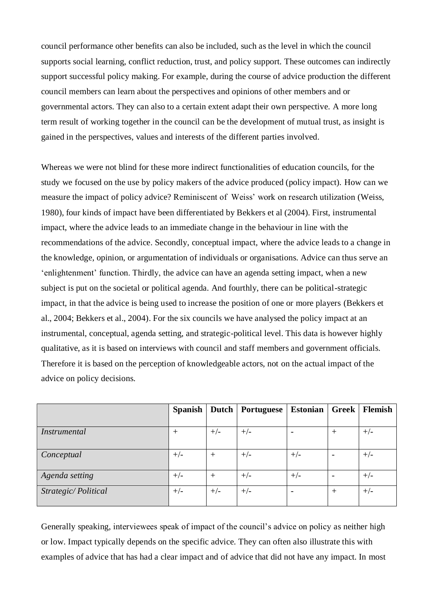council performance other benefits can also be included, such as the level in which the council supports social learning, conflict reduction, trust, and policy support. These outcomes can indirectly support successful policy making. For example, during the course of advice production the different council members can learn about the perspectives and opinions of other members and or governmental actors. They can also to a certain extent adapt their own perspective. A more long term result of working together in the council can be the development of mutual trust, as insight is gained in the perspectives, values and interests of the different parties involved.

Whereas we were not blind for these more indirect functionalities of education councils, for the study we focused on the use by policy makers of the advice produced (policy impact). How can we measure the impact of policy advice? Reminiscent of Weiss' work on research utilization (Weiss, 1980), four kinds of impact have been differentiated by Bekkers et al (2004). First, instrumental impact, where the advice leads to an immediate change in the behaviour in line with the recommendations of the advice. Secondly, conceptual impact, where the advice leads to a change in the knowledge, opinion, or argumentation of individuals or organisations. Advice can thus serve an 'enlightenment' function. Thirdly, the advice can have an agenda setting impact, when a new subject is put on the societal or political agenda. And fourthly, there can be political-strategic impact, in that the advice is being used to increase the position of one or more players (Bekkers et al., 2004; Bekkers et al., 2004). For the six councils we have analysed the policy impact at an instrumental, conceptual, agenda setting, and strategic-political level. This data is however highly qualitative, as it is based on interviews with council and staff members and government officials. Therefore it is based on the perception of knowledgeable actors, not on the actual impact of the advice on policy decisions.

|                     | <b>Spanish</b> |        | Dutch   Portuguese | <b>Estonian</b>          | Greek                    | Flemish |
|---------------------|----------------|--------|--------------------|--------------------------|--------------------------|---------|
|                     |                |        |                    |                          |                          |         |
| Instrumental        | $^{+}$         | $+/-$  | $+/-$              | $\overline{\phantom{0}}$ | $^{+}$                   | $+/-$   |
|                     |                |        |                    |                          |                          |         |
| Conceptual          | $+/-$          | $^{+}$ | $+/-$              | $+/-$                    | $\overline{\phantom{0}}$ | $+/-$   |
|                     |                |        |                    |                          |                          |         |
| Agenda setting      | $+/-$          | $^{+}$ | $+/-$              | $+/-$                    |                          | $+/-$   |
| Strategic/Political | $+/-$          | $+/-$  | $+/-$              | ۰                        | $^{+}$                   | $+/-$   |
|                     |                |        |                    |                          |                          |         |

Generally speaking, interviewees speak of impact of the council's advice on policy as neither high or low. Impact typically depends on the specific advice. They can often also illustrate this with examples of advice that has had a clear impact and of advice that did not have any impact. In most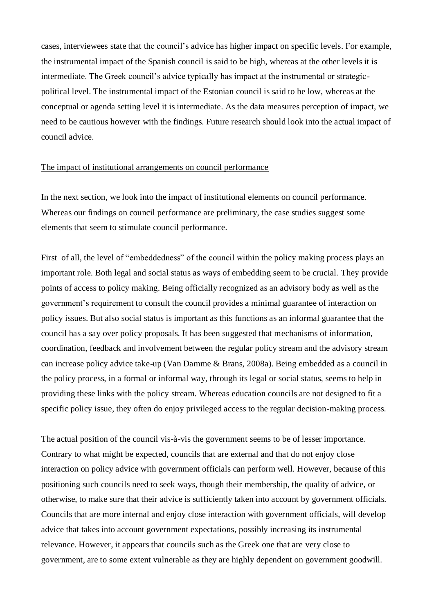cases, interviewees state that the council's advice has higher impact on specific levels. For example, the instrumental impact of the Spanish council is said to be high, whereas at the other levels it is intermediate. The Greek council's advice typically has impact at the instrumental or strategicpolitical level. The instrumental impact of the Estonian council is said to be low, whereas at the conceptual or agenda setting level it is intermediate. As the data measures perception of impact, we need to be cautious however with the findings. Future research should look into the actual impact of council advice.

## The impact of institutional arrangements on council performance

In the next section, we look into the impact of institutional elements on council performance. Whereas our findings on council performance are preliminary, the case studies suggest some elements that seem to stimulate council performance.

First of all, the level of "embeddedness" of the council within the policy making process plays an important role. Both legal and social status as ways of embedding seem to be crucial. They provide points of access to policy making. Being officially recognized as an advisory body as well as the government's requirement to consult the council provides a minimal guarantee of interaction on policy issues. But also social status is important as this functions as an informal guarantee that the council has a say over policy proposals. It has been suggested that mechanisms of information, coordination, feedback and involvement between the regular policy stream and the advisory stream can increase policy advice take-up (Van Damme & Brans, 2008a). Being embedded as a council in the policy process, in a formal or informal way, through its legal or social status, seems to help in providing these links with the policy stream. Whereas education councils are not designed to fit a specific policy issue, they often do enjoy privileged access to the regular decision-making process.

The actual position of the council vis-à-vis the government seems to be of lesser importance. Contrary to what might be expected, councils that are external and that do not enjoy close interaction on policy advice with government officials can perform well. However, because of this positioning such councils need to seek ways, though their membership, the quality of advice, or otherwise, to make sure that their advice is sufficiently taken into account by government officials. Councils that are more internal and enjoy close interaction with government officials, will develop advice that takes into account government expectations, possibly increasing its instrumental relevance. However, it appears that councils such as the Greek one that are very close to government, are to some extent vulnerable as they are highly dependent on government goodwill.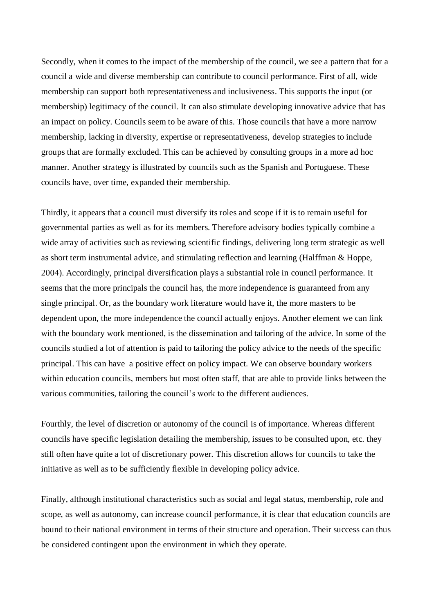Secondly, when it comes to the impact of the membership of the council, we see a pattern that for a council a wide and diverse membership can contribute to council performance. First of all, wide membership can support both representativeness and inclusiveness. This supports the input (or membership) legitimacy of the council. It can also stimulate developing innovative advice that has an impact on policy. Councils seem to be aware of this. Those councils that have a more narrow membership, lacking in diversity, expertise or representativeness, develop strategies to include groups that are formally excluded. This can be achieved by consulting groups in a more ad hoc manner. Another strategy is illustrated by councils such as the Spanish and Portuguese. These councils have, over time, expanded their membership.

Thirdly, it appears that a council must diversify its roles and scope if it is to remain useful for governmental parties as well as for its members. Therefore advisory bodies typically combine a wide array of activities such as reviewing scientific findings, delivering long term strategic as well as short term instrumental advice, and stimulating reflection and learning (Halffman & Hoppe, 2004). Accordingly, principal diversification plays a substantial role in council performance. It seems that the more principals the council has, the more independence is guaranteed from any single principal. Or, as the boundary work literature would have it, the more masters to be dependent upon, the more independence the council actually enjoys. Another element we can link with the boundary work mentioned, is the dissemination and tailoring of the advice. In some of the councils studied a lot of attention is paid to tailoring the policy advice to the needs of the specific principal. This can have a positive effect on policy impact. We can observe boundary workers within education councils, members but most often staff, that are able to provide links between the various communities, tailoring the council's work to the different audiences.

Fourthly, the level of discretion or autonomy of the council is of importance. Whereas different councils have specific legislation detailing the membership, issues to be consulted upon, etc. they still often have quite a lot of discretionary power. This discretion allows for councils to take the initiative as well as to be sufficiently flexible in developing policy advice.

Finally, although institutional characteristics such as social and legal status, membership, role and scope, as well as autonomy, can increase council performance, it is clear that education councils are bound to their national environment in terms of their structure and operation. Their success can thus be considered contingent upon the environment in which they operate.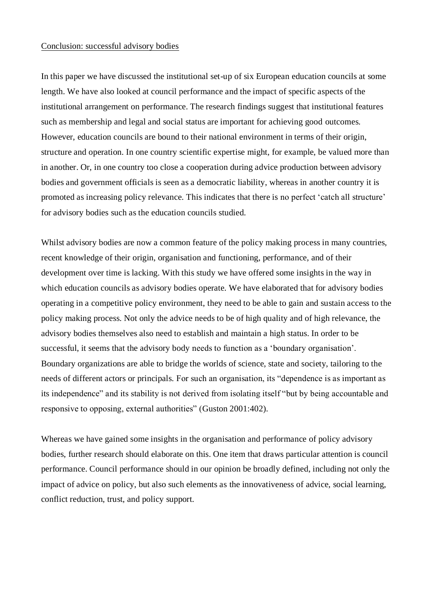### Conclusion: successful advisory bodies

In this paper we have discussed the institutional set-up of six European education councils at some length. We have also looked at council performance and the impact of specific aspects of the institutional arrangement on performance. The research findings suggest that institutional features such as membership and legal and social status are important for achieving good outcomes. However, education councils are bound to their national environment in terms of their origin, structure and operation. In one country scientific expertise might, for example, be valued more than in another. Or, in one country too close a cooperation during advice production between advisory bodies and government officials is seen as a democratic liability, whereas in another country it is promoted as increasing policy relevance. This indicates that there is no perfect 'catch all structure' for advisory bodies such as the education councils studied.

Whilst advisory bodies are now a common feature of the policy making process in many countries, recent knowledge of their origin, organisation and functioning, performance, and of their development over time is lacking. With this study we have offered some insights in the way in which education councils as advisory bodies operate. We have elaborated that for advisory bodies operating in a competitive policy environment, they need to be able to gain and sustain access to the policy making process. Not only the advice needs to be of high quality and of high relevance, the advisory bodies themselves also need to establish and maintain a high status. In order to be successful, it seems that the advisory body needs to function as a 'boundary organisation'. Boundary organizations are able to bridge the worlds of science, state and society, tailoring to the needs of different actors or principals. For such an organisation, its "dependence is as important as its independence" and its stability is not derived from isolating itself "but by being accountable and responsive to opposing, external authorities" (Guston 2001:402).

Whereas we have gained some insights in the organisation and performance of policy advisory bodies, further research should elaborate on this. One item that draws particular attention is council performance. Council performance should in our opinion be broadly defined, including not only the impact of advice on policy, but also such elements as the innovativeness of advice, social learning, conflict reduction, trust, and policy support.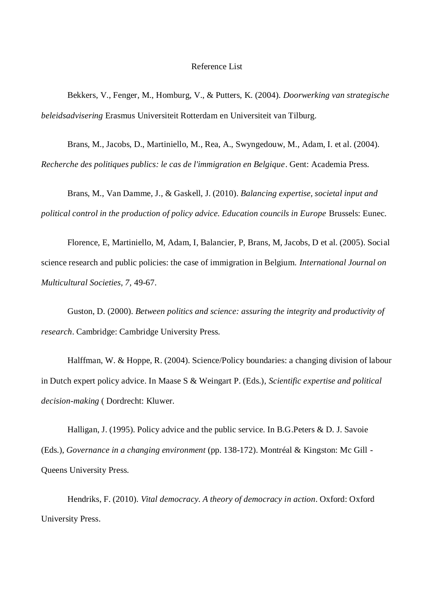#### Reference List

Bekkers, V., Fenger, M., Homburg, V., & Putters, K. (2004). *Doorwerking van strategische beleidsadvisering* Erasmus Universiteit Rotterdam en Universiteit van Tilburg.

Brans, M., Jacobs, D., Martiniello, M., Rea, A., Swyngedouw, M., Adam, I. et al. (2004). *Recherche des politiques publics: le cas de l'immigration en Belgique*. Gent: Academia Press.

Brans, M., Van Damme, J., & Gaskell, J. (2010). *Balancing expertise, societal input and political control in the production of policy advice. Education councils in Europe* Brussels: Eunec.

Florence, E, Martiniello, M, Adam, I, Balancier, P, Brans, M, Jacobs, D et al. (2005). Social science research and public policies: the case of immigration in Belgium. *International Journal on Multicultural Societies, 7,* 49-67.

Guston, D. (2000). *Between politics and science: assuring the integrity and productivity of research*. Cambridge: Cambridge University Press.

Halffman, W. & Hoppe, R. (2004). Science/Policy boundaries: a changing division of labour in Dutch expert policy advice. In Maase S & Weingart P. (Eds.), *Scientific expertise and political decision-making* ( Dordrecht: Kluwer.

Halligan, J. (1995). Policy advice and the public service. In B.G.Peters & D. J. Savoie (Eds.), *Governance in a changing environment* (pp. 138-172). Montréal & Kingston: Mc Gill - Queens University Press.

Hendriks, F. (2010). *Vital democracy. A theory of democracy in action*. Oxford: Oxford University Press.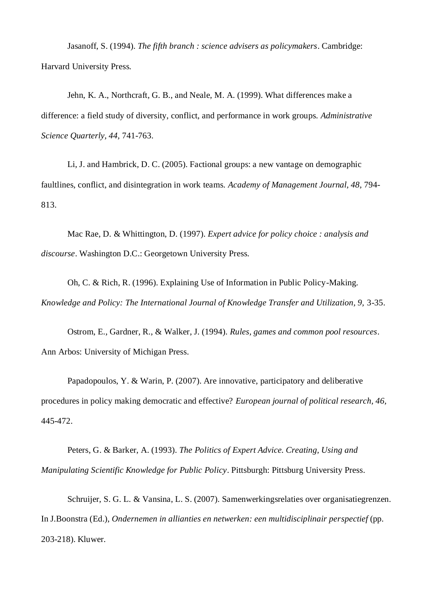Jasanoff, S. (1994). *The fifth branch : science advisers as policymakers*. Cambridge: Harvard University Press.

Jehn, K. A., Northcraft, G. B., and Neale, M. A. (1999). What differences make a difference: a field study of diversity, conflict, and performance in work groups. *Administrative Science Quarterly, 44,* 741-763.

Li, J. and Hambrick, D. C. (2005). Factional groups: a new vantage on demographic faultlines, conflict, and disintegration in work teams. *Academy of Management Journal, 48,* 794- 813.

Mac Rae, D. & Whittington, D. (1997). *Expert advice for policy choice : analysis and discourse*. Washington D.C.: Georgetown University Press.

Oh, C. & Rich, R. (1996). Explaining Use of Information in Public Policy-Making. *Knowledge and Policy: The International Journal of Knowledge Transfer and Utilization, 9,* 3-35.

Ostrom, E., Gardner, R., & Walker, J. (1994). *Rules, games and common pool resources*. Ann Arbos: University of Michigan Press.

Papadopoulos, Y. & Warin, P. (2007). Are innovative, participatory and deliberative procedures in policy making democratic and effective? *European journal of political research, 46,* 445-472.

Peters, G. & Barker, A. (1993). *The Politics of Expert Advice. Creating, Using and Manipulating Scientific Knowledge for Public Policy*. Pittsburgh: Pittsburg University Press.

Schruijer, S. G. L. & Vansina, L. S. (2007). Samenwerkingsrelaties over organisatiegrenzen. In J.Boonstra (Ed.), *Ondernemen in allianties en netwerken: een multidisciplinair perspectief* (pp. 203-218). Kluwer.